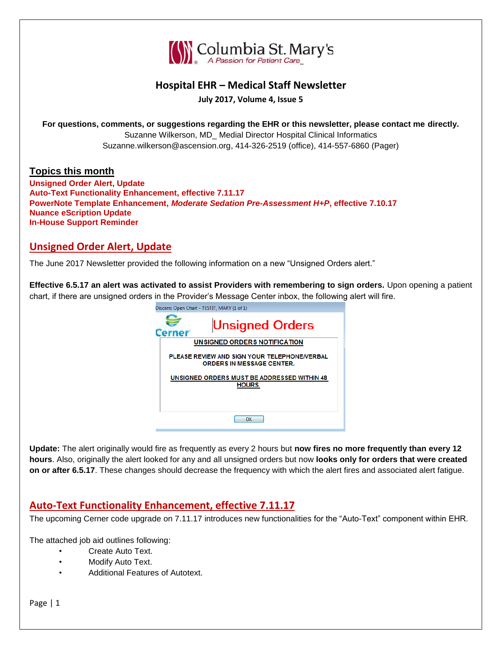

### **Hospital EHR – Medical Staff Newsletter**

**July 2017, Volume 4, Issue 5**

**For questions, comments, or suggestions regarding the EHR or this newsletter, please contact me directly.** Suzanne Wilkerson, MD\_ Medial Director Hospital Clinical Informatics Suzanne.wilkerson@ascension.org, 414-326-2519 (office), 414-557-6860 (Pager)

#### **Topics this month**

**Unsigned Order Alert, Update Auto-Text Functionality Enhancement, effective 7.11.17 PowerNote Template Enhancement,** *Moderate Sedation Pre-Assessment H+P***, effective 7.10.17 Nuance eScription Update In-House Support Reminder**

### **Unsigned Order Alert, Update**

The June 2017 Newsletter provided the following information on a new "Unsigned Orders alert."

**Effective 6.5.17 an alert was activated to assist Providers with remembering to sign orders.** Upon opening a patient chart, if there are unsigned orders in the Provider's Message Center inbox, the following alert will fire.

| Discern: Open Chart - TESTIT, MARY (1 of 1)                                      |
|----------------------------------------------------------------------------------|
| <b>Unsigned Orders</b><br>Cerner                                                 |
| UNSIGNED ORDERS NOTIFICATION                                                     |
| PLEASE REVIEW AND SIGN YOUR TELEPHONE/VERBAL<br><b>ORDERS IN MESSAGE CENTER.</b> |
| UNSIGNED ORDERS MUST BE ADDRESSED WITHIN 48<br>HOURS.                            |
|                                                                                  |
| ΠK                                                                               |
|                                                                                  |

**Update:** The alert originally would fire as frequently as every 2 hours but **now fires no more frequently than every 12 hours**. Also, originally the alert looked for any and all unsigned orders but now **looks only for orders that were created on or after 6.5.17**. These changes should decrease the frequency with which the alert fires and associated alert fatigue.

## **Auto-Text Functionality Enhancement, effective 7.11.17**

The upcoming Cerner code upgrade on 7.11.17 introduces new functionalities for the "Auto-Text" component within EHR.

The attached job aid outlines following:

- Create Auto Text.
- Modify Auto Text.
- Additional Features of Autotext.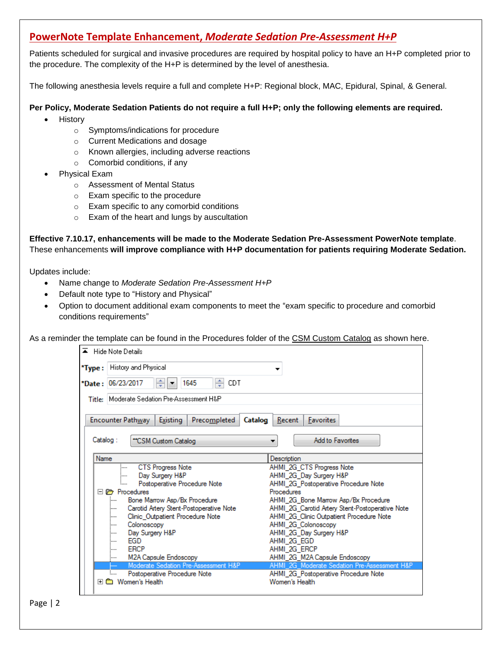## **PowerNote Template Enhancement,** *Moderate Sedation Pre-Assessment H+P*

Patients scheduled for surgical and invasive procedures are required by hospital policy to have an H+P completed prior to the procedure. The complexity of the H+P is determined by the level of anesthesia.

The following anesthesia levels require a full and complete H+P: Regional block, MAC, Epidural, Spinal, & General.

#### **Per Policy, Moderate Sedation Patients do not require a full H+P; only the following elements are required.**

- History
	- o Symptoms/indications for procedure
	- o Current Medications and dosage
	- o Known allergies, including adverse reactions
	- o Comorbid conditions, if any
- Physical Exam
	- o Assessment of Mental Status
	- o Exam specific to the procedure
	- o Exam specific to any comorbid conditions
	- o Exam of the heart and lungs by auscultation

**Effective 7.10.17, enhancements will be made to the Moderate Sedation Pre-Assessment PowerNote template**. These enhancements **will improve compliance with H+P documentation for patients requiring Moderate Sedation.**

Updates include:

- Name change to *Moderate Sedation Pre-Assessment H+P*
- Default note type to "History and Physical"
- Option to document additional exam components to meet the "exam specific to procedure and comorbid conditions requirements"

As a reminder the template can be found in the Procedures folder of the CSM Custom Catalog as shown here.

| <b>Hide Note Details</b><br>$\blacktriangle$                                                                                                                                                                                                                                                                                                                   |                                                                                                                                                                                                                                                                                                                                                                     |  |  |  |  |  |  |
|----------------------------------------------------------------------------------------------------------------------------------------------------------------------------------------------------------------------------------------------------------------------------------------------------------------------------------------------------------------|---------------------------------------------------------------------------------------------------------------------------------------------------------------------------------------------------------------------------------------------------------------------------------------------------------------------------------------------------------------------|--|--|--|--|--|--|
| History and Physical<br>*Type:                                                                                                                                                                                                                                                                                                                                 |                                                                                                                                                                                                                                                                                                                                                                     |  |  |  |  |  |  |
| ÷<br>1645<br>CDT<br>*Date: 06/23/2017                                                                                                                                                                                                                                                                                                                          |                                                                                                                                                                                                                                                                                                                                                                     |  |  |  |  |  |  |
| Title: Moderate Sedation Pre-Assessment H&P                                                                                                                                                                                                                                                                                                                    |                                                                                                                                                                                                                                                                                                                                                                     |  |  |  |  |  |  |
| Encounter Pathway<br>Existing<br>Precompleted<br><b>Favorites</b><br>Catalog<br>Recent                                                                                                                                                                                                                                                                         |                                                                                                                                                                                                                                                                                                                                                                     |  |  |  |  |  |  |
| Catalog:<br>"CSM Custom Catalog                                                                                                                                                                                                                                                                                                                                | <b>Add to Favorites</b><br>▼                                                                                                                                                                                                                                                                                                                                        |  |  |  |  |  |  |
| Name                                                                                                                                                                                                                                                                                                                                                           | Description                                                                                                                                                                                                                                                                                                                                                         |  |  |  |  |  |  |
| <b>CTS Progress Note</b><br>:<br>Day Surgery H&P<br>:<br>Postoperative Procedure Note<br>:<br>$\Box$ $\Box$ Procedures<br>Bone Marrow Asp/Bx Procedure<br>:<br>Carotid Artery Stent-Postoperative Note<br>:<br>Clinic Outpatient Procedure Note<br>:<br>Colonoscopy<br>:<br>Day Surgery H&P<br>:<br>EGD<br>:<br><b>ERCP</b><br>:<br>M2A Capsule Endoscopy<br>: | AHMI 2G CTS Progress Note<br>AHMI 2G Day Surgery H&P<br>AHMI_2G_Postoperative Procedure Note<br>Procedures<br>AHMI 2G Bone Marrow Asp/Bx Procedure<br>AHMI_2G_Carotid Artery Stent-Postoperative Note<br>AHMI_2G_Clinic Outpatient Procedure Note<br>AHMI_2G_Colonoscopy<br>AHMI_2G_Day Surgery H&P<br>AHMI 2G EGD<br>AHMI 2G ERCP<br>AHMI_2G_M2A Capsule Endoscopy |  |  |  |  |  |  |
| Moderate Sedation Pre-Assessment H&P<br>Postoperative Procedure Note<br>i<br>Women's Health                                                                                                                                                                                                                                                                    | AHMI 2G Moderate Sedation Pre-Assessment H&P<br>AHMI_2G_Postoperative Procedure Note<br>Women's Health                                                                                                                                                                                                                                                              |  |  |  |  |  |  |

Page | 2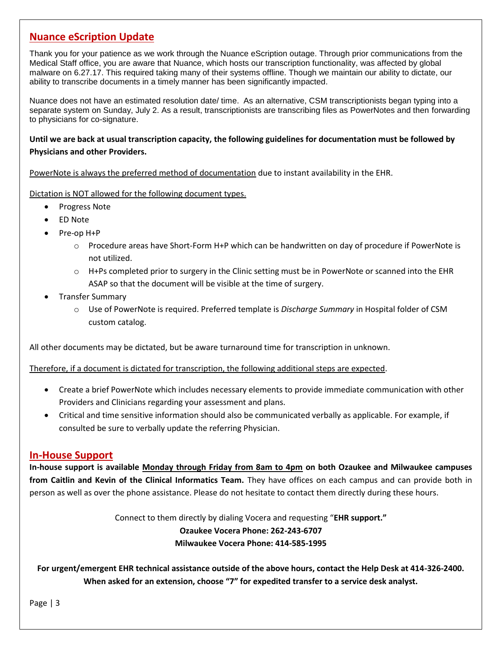### **Nuance eScription Update**

Thank you for your patience as we work through the Nuance eScription outage. Through prior communications from the Medical Staff office, you are aware that Nuance, which hosts our transcription functionality, was affected by global malware on 6.27.17. This required taking many of their systems offline. Though we maintain our ability to dictate, our ability to transcribe documents in a timely manner has been significantly impacted.

Nuance does not have an estimated resolution date/ time. As an alternative, CSM transcriptionists began typing into a separate system on Sunday, July 2. As a result, transcriptionists are transcribing files as PowerNotes and then forwarding to physicians for co-signature.

#### **Until we are back at usual transcription capacity, the following guidelines for documentation must be followed by Physicians and other Providers.**

PowerNote is always the preferred method of documentation due to instant availability in the EHR.

Dictation is NOT allowed for the following document types.

- Progress Note
- ED Note
- Pre-op H+P
	- o Procedure areas have Short-Form H+P which can be handwritten on day of procedure if PowerNote is not utilized.
	- $\circ$  H+Ps completed prior to surgery in the Clinic setting must be in PowerNote or scanned into the EHR ASAP so that the document will be visible at the time of surgery.
- Transfer Summary
	- o Use of PowerNote is required. Preferred template is *Discharge Summary* in Hospital folder of CSM custom catalog.

All other documents may be dictated, but be aware turnaround time for transcription in unknown.

Therefore, if a document is dictated for transcription, the following additional steps are expected.

- Create a brief PowerNote which includes necessary elements to provide immediate communication with other Providers and Clinicians regarding your assessment and plans.
- Critical and time sensitive information should also be communicated verbally as applicable. For example, if consulted be sure to verbally update the referring Physician.

#### **In-House Support**

**In-house support is available Monday through Friday from 8am to 4pm on both Ozaukee and Milwaukee campuses from Caitlin and Kevin of the Clinical Informatics Team.** They have offices on each campus and can provide both in person as well as over the phone assistance. Please do not hesitate to contact them directly during these hours.

Connect to them directly by dialing Vocera and requesting "**EHR support."**

#### **Ozaukee Vocera Phone: 262-243-6707 Milwaukee Vocera Phone: 414-585-1995**

**For urgent/emergent EHR technical assistance outside of the above hours, contact the Help Desk at 414-326-2400. When asked for an extension, choose "7" for expedited transfer to a service desk analyst.**

Page | 3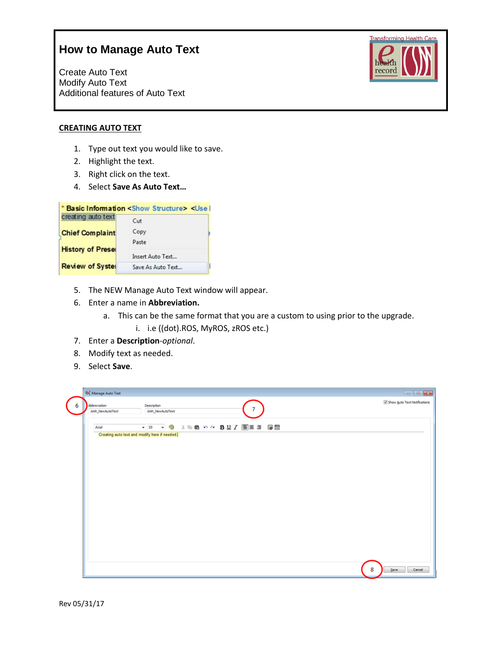Create Auto Text Modify Auto Text Additional features of Auto Text



#### **CREATING AUTO TEXT**

- 1. Type out text you would like to save.
- 2. Highlight the text.
- 3. Right click on the text.
- 4. Select **Save As Auto Text…**

|                          | * Basic Information <show structure=""> <use i<="" th=""><th></th></use></show> |  |
|--------------------------|---------------------------------------------------------------------------------|--|
| creating auto text       | Cut                                                                             |  |
| <b>Chief Complaint</b>   | Copy                                                                            |  |
|                          | Paste                                                                           |  |
| <b>History of Preset</b> | Insert Auto Text                                                                |  |
| <b>Review of Syster</b>  | Save As Auto Text                                                               |  |

- 5. The NEW Manage Auto Text window will appear.
- 6. Enter a name in **Abbreviation.**
	- a. This can be the same format that you are a custom to using prior to the upgrade.
		- i. i.e ((dot).ROS, MyROS, zROS etc.)
- 7. Enter a **Description**-*optional*.
- 8. Modify text as needed.
- 9. Select **Save**.

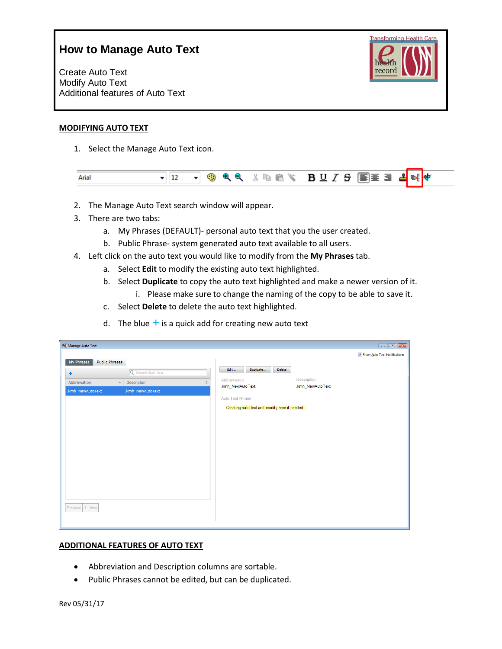Create Auto Text Modify Auto Text Additional features of Auto Text



#### **MODIFYING AUTO TEXT**

1. Select the Manage Auto Text icon.

| Arial |  |
|-------|--|
|-------|--|

- 2. The Manage Auto Text search window will appear.
- 3. There are two tabs:
	- a. My Phrases (DEFAULT)- personal auto text that you the user created.
	- b. Public Phrase- system generated auto text available to all users.
- 4. Left click on the auto text you would like to modify from the **My Phrases** tab.
	- a. Select **Edit** to modify the existing auto text highlighted.
	- b. Select **Duplicate** to copy the auto text highlighted and make a newer version of it.
		- i. Please make sure to change the naming of the copy to be able to save it.
	- c. Select **Delete** to delete the auto text highlighted.
	- d. The blue  $+$  is a quick add for creating new auto text

| <sup>@</sup> Manage Auto Text       |                           |                     |                                               |                  | $\begin{array}{c c c c c c} \hline \multicolumn{3}{c }{\mathbf{a}} & \multicolumn{3}{c }{\mathbf{a}} & \multicolumn{3}{c }{\mathbf{a}} & \multicolumn{3}{c }{\mathbf{a}} & \multicolumn{3}{c }{\mathbf{a}} & \multicolumn{3}{c }{\mathbf{a}} & \multicolumn{3}{c }{\mathbf{a}} & \multicolumn{3}{c }{\mathbf{a}} & \multicolumn{3}{c }{\mathbf{a}} & \multicolumn{3}{c }{\mathbf{a}} & \multicolumn{3}{c }{\mathbf{a}} & \multicolumn{3}{c }{\mathbf$ |
|-------------------------------------|---------------------------|---------------------|-----------------------------------------------|------------------|-------------------------------------------------------------------------------------------------------------------------------------------------------------------------------------------------------------------------------------------------------------------------------------------------------------------------------------------------------------------------------------------------------------------------------------------------------|
|                                     |                           |                     |                                               |                  | V Show Auto Text Notifications                                                                                                                                                                                                                                                                                                                                                                                                                        |
| <b>Public Phrases</b><br>My Phrases |                           |                     |                                               |                  |                                                                                                                                                                                                                                                                                                                                                                                                                                                       |
| ٠                                   | Q Search Auto Text        |                     | Duplicate<br>Edit                             | Delete           |                                                                                                                                                                                                                                                                                                                                                                                                                                                       |
| Abbreviation                        | Description<br>$\Delta$ . | $\hat{\mathcal{L}}$ | Abbreviation                                  | Description      |                                                                                                                                                                                                                                                                                                                                                                                                                                                       |
| .kmh_NewAutoText                    | .kmh_NewAutoText          |                     | .kmh_NewAutoText                              | .kmh_NewAutoText |                                                                                                                                                                                                                                                                                                                                                                                                                                                       |
|                                     |                           |                     | Auto Text Phrase                              |                  |                                                                                                                                                                                                                                                                                                                                                                                                                                                       |
|                                     |                           |                     | Creating auto text and modify here if needed. |                  |                                                                                                                                                                                                                                                                                                                                                                                                                                                       |
|                                     |                           |                     |                                               |                  |                                                                                                                                                                                                                                                                                                                                                                                                                                                       |
|                                     |                           |                     |                                               |                  |                                                                                                                                                                                                                                                                                                                                                                                                                                                       |
|                                     |                           |                     |                                               |                  |                                                                                                                                                                                                                                                                                                                                                                                                                                                       |
|                                     |                           |                     |                                               |                  |                                                                                                                                                                                                                                                                                                                                                                                                                                                       |
|                                     |                           |                     |                                               |                  |                                                                                                                                                                                                                                                                                                                                                                                                                                                       |
|                                     |                           |                     |                                               |                  |                                                                                                                                                                                                                                                                                                                                                                                                                                                       |
|                                     |                           |                     |                                               |                  |                                                                                                                                                                                                                                                                                                                                                                                                                                                       |
|                                     |                           |                     |                                               |                  |                                                                                                                                                                                                                                                                                                                                                                                                                                                       |
|                                     |                           |                     |                                               |                  |                                                                                                                                                                                                                                                                                                                                                                                                                                                       |
|                                     |                           |                     |                                               |                  |                                                                                                                                                                                                                                                                                                                                                                                                                                                       |
| 1 Next<br>Previous                  |                           |                     |                                               |                  |                                                                                                                                                                                                                                                                                                                                                                                                                                                       |
|                                     |                           |                     |                                               |                  |                                                                                                                                                                                                                                                                                                                                                                                                                                                       |
|                                     |                           |                     |                                               |                  |                                                                                                                                                                                                                                                                                                                                                                                                                                                       |

#### **ADDITIONAL FEATURES OF AUTO TEXT**

- Abbreviation and Description columns are sortable.
- Public Phrases cannot be edited, but can be duplicated.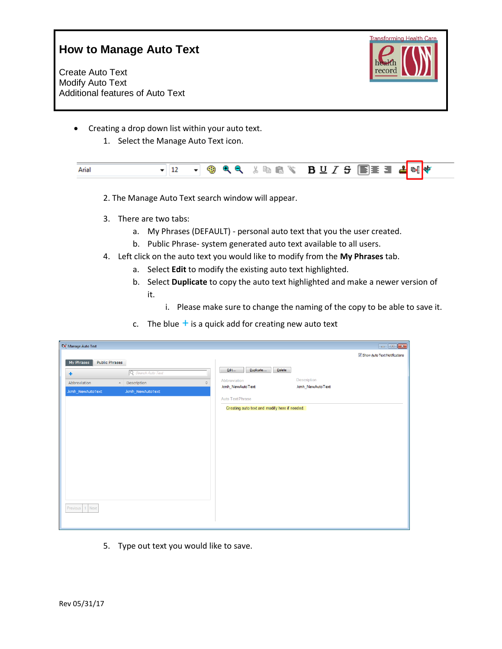Create Auto Text Modify Auto Text Additional features of Auto Text



- Creating a drop down list within your auto text.
	- 1. Select the Manage Auto Text icon.

| Arial |  |  |  |  |  | <b>▼ 12 ▼ © Q Q</b> 《 N D D Y & E E E E <mark>E</mark> E E <mark>d</mark> of <mark>o</mark> f |  |  |  |  |  |
|-------|--|--|--|--|--|-----------------------------------------------------------------------------------------------|--|--|--|--|--|
|-------|--|--|--|--|--|-----------------------------------------------------------------------------------------------|--|--|--|--|--|

- 2. The Manage Auto Text search window will appear.
- 3. There are two tabs:
	- a. My Phrases (DEFAULT) personal auto text that you the user created.
	- b. Public Phrase- system generated auto text available to all users.
- 4. Left click on the auto text you would like to modify from the **My Phrases** tab.
	- a. Select **Edit** to modify the existing auto text highlighted.
	- b. Select **Duplicate** to copy the auto text highlighted and make a newer version of it.
		- i. Please make sure to change the naming of the copy to be able to save it.
	- c. The blue  $+$  is a quick add for creating new auto text

| <b>DE</b> Manage Auto Text   |                         |                                                         |                                               |                                |
|------------------------------|-------------------------|---------------------------------------------------------|-----------------------------------------------|--------------------------------|
|                              |                         |                                                         |                                               | V Show Auto Text Notifications |
| Public Phrases<br>My Phrases |                         |                                                         | Duplicate                                     |                                |
| ۰                            | Q Search Auto Text      | Edit                                                    | Delete                                        |                                |
| Abbreviation                 | Description<br>$\Delta$ | Abbreviation<br>$\hat{\mathcal{L}}$<br>.kmh_NewAutoText | Description<br>.kmh_NewAutoText               |                                |
| .kmh_NewAutoText             | .kmh_NewAutoText        |                                                         |                                               |                                |
|                              |                         | Auto Text Phrase                                        |                                               |                                |
|                              |                         |                                                         | Creating auto text and modify here if needed. |                                |
|                              |                         |                                                         |                                               |                                |
|                              |                         |                                                         |                                               |                                |
|                              |                         |                                                         |                                               |                                |
|                              |                         |                                                         |                                               |                                |
|                              |                         |                                                         |                                               |                                |
|                              |                         |                                                         |                                               |                                |
|                              |                         |                                                         |                                               |                                |
|                              |                         |                                                         |                                               |                                |
|                              |                         |                                                         |                                               |                                |
|                              |                         |                                                         |                                               |                                |
| Previous 1 Next              |                         |                                                         |                                               |                                |
|                              |                         |                                                         |                                               |                                |
|                              |                         |                                                         |                                               |                                |

5. Type out text you would like to save.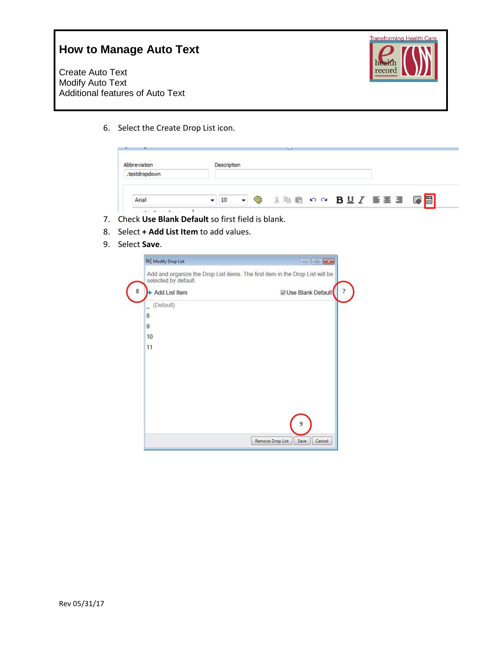Create Auto Text Modify Auto Text Additional features of Auto Text



6. Select the Create Drop List icon.

| .testdroodown |  |                                                                                          |  |
|---------------|--|------------------------------------------------------------------------------------------|--|
|               |  |                                                                                          |  |
| Aria          |  | $\cdot$ 10 $\cdot$ 3 . a 6 $\circ$ $\cdot$ B U $I$ b h 5 $\overline{3}$ 6 $\overline{3}$ |  |

- 7. Check **Use Blank Default** so first field is blank.
- 8. Select **+ Add List Item** to add values.
- 9. Select **Save**.

| <b>DE</b> Modify Drop List |                                                                               |
|----------------------------|-------------------------------------------------------------------------------|
| selected by default.       | Add and organize the Drop List items. The first item in the Drop List will be |
| + Add List Item            | Use Blank Default                                                             |
| (Default)                  |                                                                               |
| 8                          |                                                                               |
| $\overline{9}$             |                                                                               |
| 10                         |                                                                               |
| 11                         |                                                                               |
|                            |                                                                               |
|                            |                                                                               |
|                            |                                                                               |
|                            |                                                                               |
|                            |                                                                               |
|                            |                                                                               |
|                            | 9                                                                             |
|                            |                                                                               |
|                            | Remove Drop List<br>Save<br>Cancel                                            |